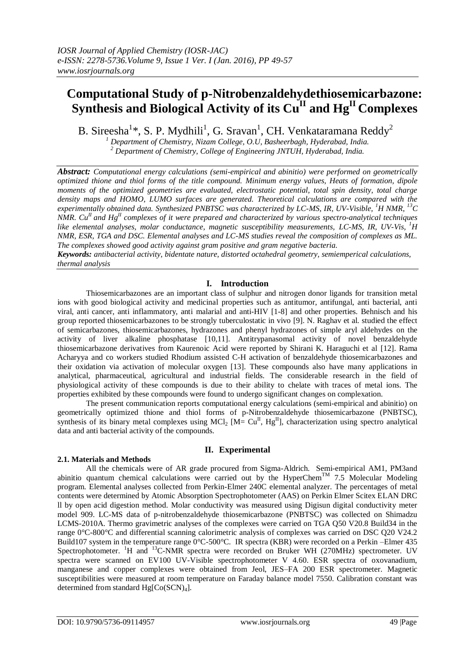# **Computational Study of p-Nitrobenzaldehydethiosemicarbazone: Synthesis and Biological Activity of its CuII and HgII Complexes**

B. Sireesha<sup>1</sup>\*, S. P. Mydhili<sup>1</sup>, G. Sravan<sup>1</sup>, CH. Venkataramana Reddy<sup>2</sup>

*<sup>1</sup> Department of Chemistry, Nizam College, O.U, Basheerbagh, Hyderabad, India. <sup>2</sup> Department of Chemistry, College of Engineering JNTUH, Hyderabad, India.*

*Abstract: Computational energy calculations (semi-empirical and abinitio) were performed on geometrically optimized thione and thiol forms of the title compound. Minimum energy values, Heats of formation, dipole moments of the optimized geometries are evaluated, electrostatic potential, total spin density, total charge density maps and HOMO, LUMO surfaces are generated. Theoretical calculations are compared with the experimentally obtained data. Synthesized PNBTSC was characterized by LC-MS, IR, UV-Visible, <sup>1</sup>H NMR, <sup>13</sup>C NMR. CuII and HgII complexes of it were prepared and characterized by various spectro-analytical techniques like elemental analyses, molar conductance, magnetic susceptibility measurements, LC-MS, IR, UV-Vis, <sup>1</sup>H NMR, ESR, TGA and DSC. Elemental analyses and LC-MS studies reveal the composition of complexes as ML. The complexes showed good activity against gram positive and gram negative bacteria.*

*Keywords: antibacterial activity, bidentate nature, distorted octahedral geometry, semiemperical calculations, thermal analysis*

### **I. Introduction**

Thiosemicarbazones are an important class of sulphur and nitrogen donor ligands for transition metal ions with good biological activity and medicinal properties such as antitumor, antifungal, anti bacterial, anti viral, anti cancer, anti inflammatory, anti malarial and anti-HIV [1-8] and other properties. Behnisch and his group reported thiosemicarbazones to be strongly tuberculostatic in vivo [9]. N. Raghav et al. studied the effect of semicarbazones, thiosemicarbazones, hydrazones and phenyl hydrazones of simple aryl aldehydes on the activity of liver alkaline phosphatase [10,11]. Antitrypanasomal activity of novel benzaldehyde thiosemicarbazone derivatives from Kaurenoic Acid were reported by Shirani K. Haraguchi et al [12]. Rama Acharyya and co workers studied Rhodium assisted C-H activation of benzaldehyde thiosemicarbazones and their oxidation via activation of molecular oxygen [13]. These compounds also have many applications in analytical, pharmaceutical, agricultural and industrial fields. The considerable research in the field of physiological activity of these compounds is due to their ability to chelate with traces of metal ions. The properties exhibited by these compounds were found to undergo significant changes on complexation.

 The present communication reports computational energy calculations (semi-empirical and abinitio) on geometrically optimized thione and thiol forms of p-Nitrobenzaldehyde thiosemicarbazone (PNBTSC), synthesis of its binary metal complexes using MCl<sub>2</sub> [M=  $Cu<sup>H</sup>$ , Hg<sup>H</sup>], characterization using spectro analytical data and anti bacterial activity of the compounds.

### **II. Experimental**

#### **2.1. Materials and Methods**

All the chemicals were of AR grade procured from Sigma-Aldrich. Semi-empirical AM1, PM3and abinitio quantum chemical calculations were carried out by the HyperChem<sup>TM</sup> 7.5 Molecular Modeling program. Elemental analyses collected from Perkin-Elmer 240C elemental analyzer. The percentages of metal contents were determined by Atomic Absorption Spectrophotometer (AAS) on Perkin Elmer Scitex ELAN DRC ll by open acid digestion method. Molar conductivity was measured using Digisun digital conductivity meter model 909. LC-MS data of p-nitrobenzaldehyde thiosemicarbazone (PNBTSC) was collected on Shimadzu LCMS-2010A. Thermo gravimetric analyses of the complexes were carried on TGA Q50 V20.8 Build34 in the range 0°C-800°C and differential scanning calorimetric analysis of complexes was carried on DSC Q20 V24.2 Build107 system in the temperature range 0°C-500°C. IR spectra (KBR) were recorded on a Perkin –Elmer 435 Spectrophotometer. <sup>1</sup>H and <sup>13</sup>C-NMR spectra were recorded on Bruker WH (270MHz) spectrometer. UV spectra were scanned on EV100 UV-Visible spectrophotometer V 4.60. ESR spectra of oxovanadium, manganese and copper complexes were obtained from Jeol, JES–FA 200 ESR spectrometer. Magnetic susceptibilities were measured at room temperature on Faraday balance model 7550. Calibration constant was determined from standard  $Hg[Co(SCN)<sub>4</sub>]$ .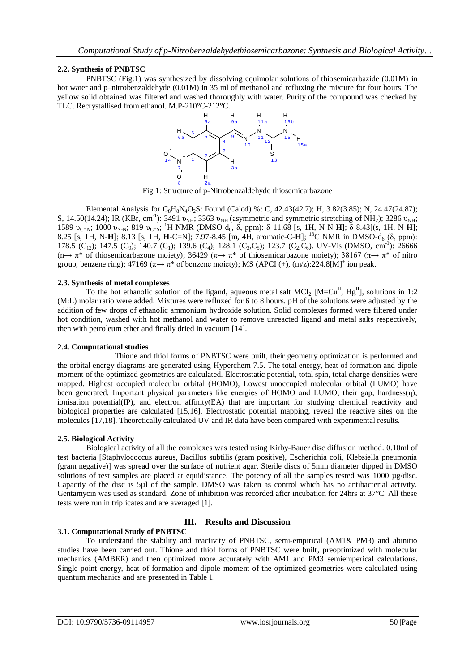### **2.2. Synthesis of PNBTSC**

PNBTSC (Fig:1) was synthesized by dissolving equimolar solutions of thiosemicarbazide (0.01M) in hot water and p–nitrobenzaldehyde (0.01M) in 35 ml of methanol and refluxing the mixture for four hours. The yellow solid obtained was filtered and washed thoroughly with water. Purity of the compound was checked by TLC. Recrystallised from ethanol. M.P-210°C-212°C.



Fig 1: Structure of p-Nitrobenzaldehyde thiosemicarbazone

Elemental Analysis for C<sub>8</sub>H<sub>8</sub>N<sub>4</sub>O<sub>2</sub>S: Found (Calcd) %: C, 42.43(42.7); H, 3.82(3.85); N, 24.47(24.87); S, 14.50(14.24); IR (KBr, cm<sup>-1</sup>): 3491  $v_{NH}$ ; 3363  $v_{NH}$  (asymmetric and symmetric stretching of NH<sub>2</sub>); 3286  $v_{NH}$ ; 1589  $v_{C=N}$ ; 1000  $v_{N-N}$ ; 819  $v_{C=S}$ ; <sup>1</sup>H NMR (DMSO-d<sub>6</sub>, δ, ppm): δ 11.68 [s, 1H, N-N-**H**]; δ 8.43[(s, 1H, N-**H**]; 8.25 [s, 1H, N-**H**]; 8.13 [s, 1H, **H**-C=N]; 7.97-8.45 [m, 4H, aromatic-C-**H**]; <sup>13</sup>C NMR in DMSO-d<sub>6</sub> (δ, ppm): 178.5 (C<sub>12</sub>); 147.5 (C<sub>9</sub>); 140.7 (C<sub>1</sub>); 139.6 (C<sub>4</sub>); 128.1 (C<sub>3</sub>,C<sub>5</sub>); 123.7 (C<sub>2</sub>,C<sub>6</sub>). UV-Vis (DMSO, cm<sup>-1</sup>): 26666 (n→  $\pi^*$  of thiosemicarbazone moiety); 36429 ( $\pi \rightarrow \pi^*$  of thiosemicarbazone moiety); 38167 ( $\pi \rightarrow \pi^*$  of nitro group, benzene ring); 47169 ( $\pi \rightarrow \pi^*$  of benzene moiety); MS (APCI (+), (m/z):224.8[M]<sup>+</sup> ion peak.

#### **2.3. Synthesis of metal complexes**

To the hot ethanolic solution of the ligand, aqueous metal salt MCl<sub>2</sub> [M=Cu<sup>II</sup>, Hg<sup>II</sup>], solutions in 1:2 (M:L) molar ratio were added. Mixtures were refluxed for 6 to 8 hours. pH of the solutions were adjusted by the addition of few drops of ethanolic ammonium hydroxide solution. Solid complexes formed were filtered under hot condition, washed with hot methanol and water to remove unreacted ligand and metal salts respectively, then with petroleum ether and finally dried in vacuum [14].

### **2.4. Computational studies**

Thione and thiol forms of PNBTSC were built, their geometry optimization is performed and the orbital energy diagrams are generated using Hyperchem 7.5. The total energy, heat of formation and dipole moment of the optimized geometries are calculated. Electrostatic potential, total spin, total charge densities were mapped. Highest occupied molecular orbital (HOMO), Lowest unoccupied molecular orbital (LUMO) have been generated. Important physical parameters like energies of HOMO and LUMO, their gap, hardness(n), ionisation potential(IP), and electron affinity(EA) that are important for studying chemical reactivity and biological properties are calculated [15,16]. Electrostatic potential mapping, reveal the reactive sites on the molecules [17,18]. Theoretically calculated UV and IR data have been compared with experimental results.

### **2.5. Biological Activity**

Biological activity of all the complexes was tested using Kirby-Bauer disc diffusion method. 0.10ml of test bacteria [Staphylococcus aureus, Bacillus subtilis (gram positive), Escherichia coli, Klebsiella pneumonia (gram negative)] was spread over the surface of nutrient agar. Sterile discs of 5mm diameter dipped in DMSO solutions of test samples are placed at equidistance. The potency of all the samples tested was 1000 µg/disc. Capacity of the disc is 5µl of the sample. DMSO was taken as control which has no antibacterial activity. Gentamycin was used as standard. Zone of inhibition was recorded after incubation for 24hrs at 37°C. All these tests were run in triplicates and are averaged [1].

## **3.1. Computational Study of PNBTSC**

### **III. Results and Discussion**

To understand the stability and reactivity of PNBTSC, semi-empirical (AM1& PM3) and abinitio studies have been carried out. Thione and thiol forms of PNBTSC were built, preoptimized with molecular mechanics (AMBER) and then optimized more accurately with AM1 and PM3 semiemperical calculations. Single point energy, heat of formation and dipole moment of the optimized geometries were calculated using quantum mechanics and are presented in Table 1.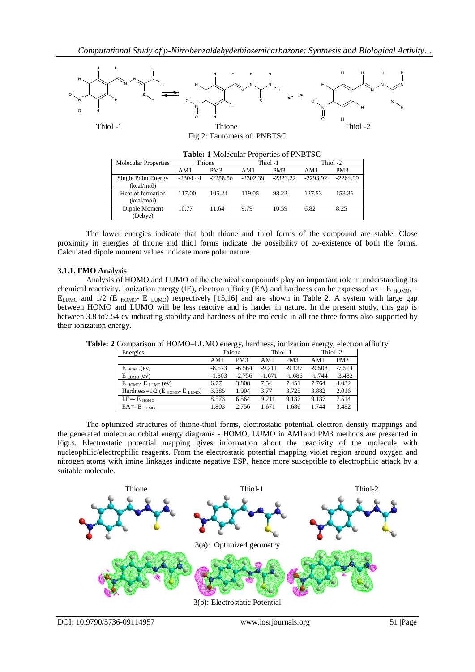

Fig 2: Tautomers of PNBTSC

| Table: 1 Molecular Properties of PNBTSC |            |                 |            |                 |            |                 |
|-----------------------------------------|------------|-----------------|------------|-----------------|------------|-----------------|
| <b>Molecular Properties</b>             | Thione     |                 | Thiol-1    |                 | Thiol-2    |                 |
|                                         | AM1        | PM <sub>3</sub> | AM1        | PM <sub>3</sub> | AM1        | PM <sub>3</sub> |
| Single Point Energy<br>(kcal/mol)       | $-2304.44$ | $-2258.56$      | $-2302.39$ | $-2323.22$      | $-2293.92$ | $-2264.99$      |
| Heat of formation<br>(kcal/mol)         | 117.00     | 105.24          | 119.05     | 98.22           | 127.53     | 153.36          |
| Dipole Moment<br>(Debye)                | 10.77      | 11.64           | 9.79       | 10.59           | 6.82       | 8.25            |

The lower energies indicate that both thione and thiol forms of the compound are stable. Close proximity in energies of thione and thiol forms indicate the possibility of co-existence of both the forms. Calculated dipole moment values indicate more polar nature.

### **3.1.1. FMO Analysis**

Analysis of HOMO and LUMO of the chemical compounds play an important role in understanding its chemical reactivity. Ionization energy (IE), electron affinity (EA) and hardness can be expressed as  $- E_{HOMO}$ ,  $E_{LUMO}$  and 1/2 (E  $_{HOMO}$ - E  $_{LUMO}$ ) respectively [15,16] and are shown in Table 2. A system with large gap between HOMO and LUMO will be less reactive and is harder in nature. In the present study, this gap is between 3.8 to7.54 ev indicating stability and hardness of the molecule in all the three forms also supported by their ionization energy.

|                                                          |          | $\sim$          |          |                 | ັ້       |                 |
|----------------------------------------------------------|----------|-----------------|----------|-----------------|----------|-----------------|
| Energies                                                 |          | Thione          |          | Thiol -1        |          | Thiol-2         |
|                                                          | AM1      | PM <sub>3</sub> | AM1      | PM <sub>3</sub> | AM1      | PM <sub>3</sub> |
| $E_{HOMO}(ev)$                                           | $-8.573$ | $-6.564$        | $-9.211$ | $-9.137$        | $-9.508$ | $-7.514$        |
| $E_{LUMO}(ev)$                                           | $-1.803$ | $-2.756$        | $-1.671$ | $-1.686$        | $-1.744$ | $-3.482$        |
| $E_{HOMO}$ - $E_{LUMO}$ (ev)                             | 6.77     | 3.808           | 7.54     | 7.451           | 7.764    | 4.032           |
| Hardness= $1/2$ (E <sub>HOMO</sub> - E <sub>LUMO</sub> ) | 3.385    | 1.904           | 3.77     | 3.725           | 3.882    | 2.016           |
| I.E= $-E_{HOMO}$                                         | 8.573    | 6.564           | 9.211    | 9.137           | 9.137    | 7.514           |
| $EA$ = $E$ $L$ $U$ $MO$                                  | 1.803    | 2.756           | 1.671    | 1.686           | 1.744    | 3.482           |

**Table: 2** Comparison of HOMO–LUMO energy, hardness, ionization energy, electron affinity

 The optimized structures of thione-thiol forms, electrostatic potential, electron density mappings and the generated molecular orbital energy diagrams - HOMO, LUMO in AM1and PM3 methods are presented in Fig:3. Electrostatic potential mapping gives information about the reactivity of the molecule with nucleophilic/electrophilic reagents. From the electrostatic potential mapping violet region around oxygen and nitrogen atoms with imine linkages indicate negative ESP, hence more susceptible to electrophilic attack by a suitable molecule.

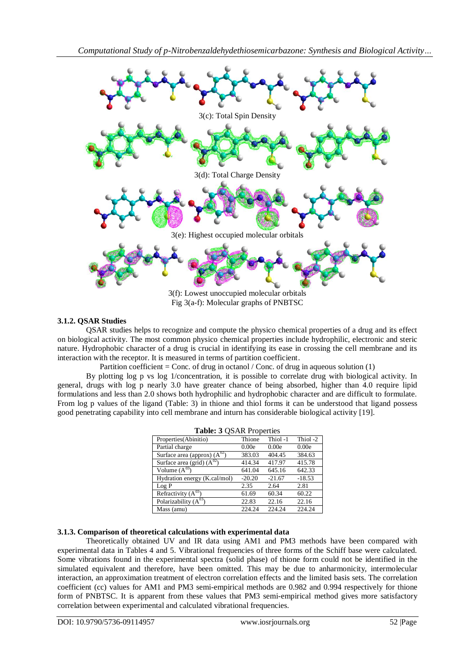

Fig 3(a-f): Molecular graphs of PNBTSC

### **3.1.2. QSAR Studies**

QSAR studies helps to recognize and compute the physico chemical properties of a drug and its effect on biological activity. The most common physico chemical properties include hydrophilic, electronic and steric nature. Hydrophobic character of a drug is crucial in identifying its ease in crossing the cell membrane and its interaction with the receptor. It is measured in terms of partition coefficient.

Partition coefficient = Conc. of drug in octanol / Conc. of drug in aqueous solution (1)

 By plotting log p vs log 1/concentration, it is possible to correlate drug with biological activity. In general, drugs with log p nearly 3.0 have greater chance of being absorbed, higher than 4.0 require lipid formulations and less than 2.0 shows both hydrophilic and hydrophobic character and are difficult to formulate. From log p values of the ligand (Table: 3) in thione and thiol forms it can be understood that ligand possess good penetrating capability into cell membrane and inturn has considerable biological activity [19].

| Table: 3 QSAR Properties         |          |          |          |  |  |  |  |  |
|----------------------------------|----------|----------|----------|--|--|--|--|--|
| Properties (Abinitio)            | Thione   | Thiol-1  | Thiol -2 |  |  |  |  |  |
| Partial charge                   | 0.00e    | 0.00e    | 0.00e    |  |  |  |  |  |
| Surface area (approx) $(A^{02})$ | 383.03   | 404.45   | 384.63   |  |  |  |  |  |
| Surface area (grid) $(A^{02})$   | 414.34   | 417.97   | 415.78   |  |  |  |  |  |
| Volume $(A^{03})$                | 641.04   | 645.16   | 642.33   |  |  |  |  |  |
| Hydration energy (K.cal/mol)     | $-20.20$ | $-21.67$ | $-18.53$ |  |  |  |  |  |
| Log P                            | 2.35     | 2.64     | 2.81     |  |  |  |  |  |
| Refractivity $(A^{03})$          | 61.69    | 60.34    | 60.22    |  |  |  |  |  |
| Polarizability $(A^{03})$        | 22.83    | 22.16    | 22.16    |  |  |  |  |  |
| Mass (amu)                       | 224.24   | 224.24   | 224.24   |  |  |  |  |  |

### **3.1.3. Comparison of theoretical calculations with experimental data**

Theoretically obtained UV and IR data using AM1 and PM3 methods have been compared with experimental data in Tables 4 and 5. Vibrational frequencies of three forms of the Schiff base were calculated. Some vibrations found in the experimental spectra (solid phase) of thione form could not be identified in the simulated equivalent and therefore, have been omitted. This may be due to anharmonicity, intermolecular interaction, an approximation treatment of electron correlation effects and the limited basis sets. The correlation coefficient (cc) values for AM1 and PM3 semi-empirical methods are 0.982 and 0.994 respectively for thione form of PNBTSC. It is apparent from these values that PM3 semi-empirical method gives more satisfactory correlation between experimental and calculated vibrational frequencies.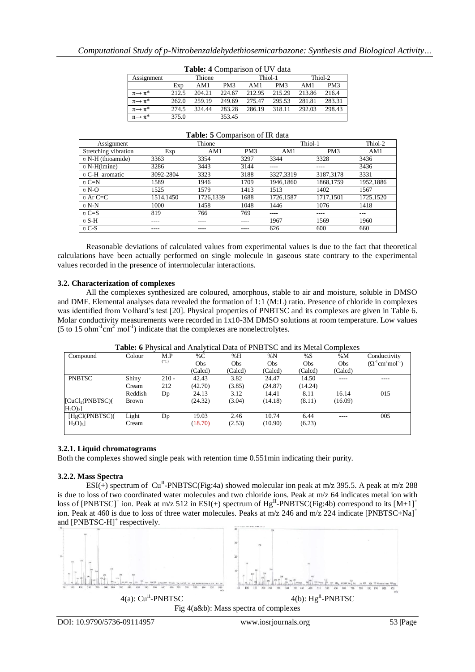| <b>Table.</b> $\rightarrow$ Comparison of $\cup$ $\vee$ data |       |        |                 |        |                 |        |                 |
|--------------------------------------------------------------|-------|--------|-----------------|--------|-----------------|--------|-----------------|
| Assignment                                                   |       | Thione |                 |        | Thiol-1         |        | Thiol-2         |
|                                                              | Exp   | AM1    | PM <sub>3</sub> | AM1    | PM <sub>3</sub> | AM1    | PM <sub>3</sub> |
| $\pi \rightarrow \pi^*$                                      | 212.5 | 204.21 | 224.67          | 212.95 | 215.29          | 213.86 | 216.4           |
| $\pi \rightarrow \pi^*$                                      | 262.0 | 259.19 | 249.69          | 275.47 | 295.53          | 281.81 | 283.31          |
| $\pi \rightarrow \pi^*$                                      | 274.5 | 324 44 | 283.28          | 286.19 | 318.11          | 292.03 | 298.43          |
| $n \rightarrow \pi^*$                                        | 375.0 |        | 353.45          |        |                 |        |                 |

| Assignment            |           | Thione    |                 |           | Thiol-1         | Thiol-2   |
|-----------------------|-----------|-----------|-----------------|-----------|-----------------|-----------|
| Stretching vibration  | Exp       | AM1       | PM <sub>3</sub> | AM1       | PM <sub>3</sub> | AM1       |
| $\nu$ N-H (thioamide) | 3363      | 3354      | 3297            | 3344      | 3328            | 3436      |
| $v$ N-H(imine)        | 3286      | 3443      | 3144            | ----      | ----            | 3436      |
| $\n  v C-H$ aromatic  | 3092-2804 | 3323      | 3188            | 3327,3319 | 3187.3178       | 3331      |
| $v \mathbf{C} = N$    | 1589      | 1946      | 1709            | 1946,1860 | 1868.1759       | 1952,1886 |
| $\nu$ N-O             | 1525      | 1579      | 1413            | 1513      | 1402            | 1567      |
| $v$ Ar C=C            | 1514,1450 | 1726,1339 | 1688            | 1726,1587 | 1717,1501       | 1725,1520 |
| $v N-N$               | 1000      | 1458      | 1048            | 1446      | 1076            | 1418      |
| $vC=S$                | 819       | 766       | 769             | $---$     | ----            | ---       |
| $vS-H$                | ----      | ----      |                 | 1967      | 1569            | 1960      |
| $vC-S$                | ----      | ----      |                 | 626       | 600             | 660       |

#### **Table: 5** Comparison of IR data

 Reasonable deviations of calculated values from experimental values is due to the fact that theoretical calculations have been actually performed on single molecule in gaseous state contrary to the experimental values recorded in the presence of intermolecular interactions.

#### **3.2. Characterization of complexes**

All the complexes synthesized are coloured, amorphous, stable to air and moisture, soluble in DMSO and DMF. Elemental analyses data revealed the formation of 1:1 (M:L) ratio. Presence of chloride in complexes was identified from Volhard's test [20]. Physical properties of PNBTSC and its complexes are given in Table 6. Molar conductivity measurements were recorded in 1x10-3M DMSO solutions at room temperature. Low values (5 to 15 ohm<sup>-1</sup>cm<sup>2</sup> mol<sup>-1</sup>) indicate that the complexes are nonelectrolytes.

|                               |         |               |            |            | <b>Table.</b> 0 I hysical and mialytical Data of I FOTDED and its initial Complexes |         |         |                                                    |
|-------------------------------|---------|---------------|------------|------------|-------------------------------------------------------------------------------------|---------|---------|----------------------------------------------------|
| Compound                      | Colour  | M.P           | %C         | %H         | %N                                                                                  | %S      | %M      | Conductivity                                       |
|                               |         | $(^{\circ}C)$ | <b>Obs</b> | <b>Obs</b> | Obs                                                                                 | Obs     | Obs     | $(\Omega^{-1}$ cm <sup>2</sup> mol <sup>-1</sup> ) |
|                               |         |               | (Calcd)    | (Calcd)    | (Calcd)                                                                             | (Calcd) | (Calcd) |                                                    |
| <b>PNBTSC</b>                 | Shiny   | $210 -$       | 42.43      | 3.82       | 24.47                                                                               | 14.50   | ----    |                                                    |
|                               | Cream   | 212           | (42.70)    | (3.85)     | (24.87)                                                                             | (14.24) |         |                                                    |
|                               | Reddish | Dp            | 24.13      | 3.12       | 14.41                                                                               | 8.11    | 16.14   | 015                                                |
| [CuCl <sub>2</sub> (PNBTSC)]  | Brown   |               | (24.32)    | (3.04)     | (14.18)                                                                             | (8.11)  | (16.09) |                                                    |
| H <sub>2</sub> O <sub>2</sub> |         |               |            |            |                                                                                     |         |         |                                                    |
| [HgCl(PNBTSC)]                | Light   | Dp            | 19.03      | 2.46       | 10.74                                                                               | 6.44    | ----    | 005                                                |
| $H_2O$ <sub>3</sub>           | Cream   |               | (18.70)    | (2.53)     | (10.90)                                                                             | (6.23)  |         |                                                    |
|                               |         |               |            |            |                                                                                     |         |         |                                                    |

### **Table: 6** Physical and Analytical Data of PNBTSC and its Metal Complexes

#### **3.2.1. Liquid chromatograms**

Both the complexes showed single peak with retention time 0.551min indicating their purity.

#### **3.2.2. Mass Spectra**

ESI(+) spectrum of Cu<sup>II</sup>-PNBTSC(Fig:4a) showed molecular ion peak at m/z 395.5. A peak at m/z 288 is due to loss of two coordinated water molecules and two chloride ions. Peak at m/z 64 indicates metal ion with loss of [PNBTSC]<sup>+</sup> ion. Peak at m/z 512 in ESI(+) spectrum of  $Hg^{\text{II}}$ -PNBTSC(Fig:4b) correspond to its [M+1]<sup>+</sup> ion. Peak at 460 is due to loss of three water molecules. Peaks at m/z 246 and m/z 224 indicate [PNBTSC+Na]<sup>+</sup> and [PNBTSC-H]<sup>+</sup> respectively.



Fig 4(a&b): Mass spectra of complexes

DOI: 10.9790/5736-09114957 www.iosrjournals.org 53 |Page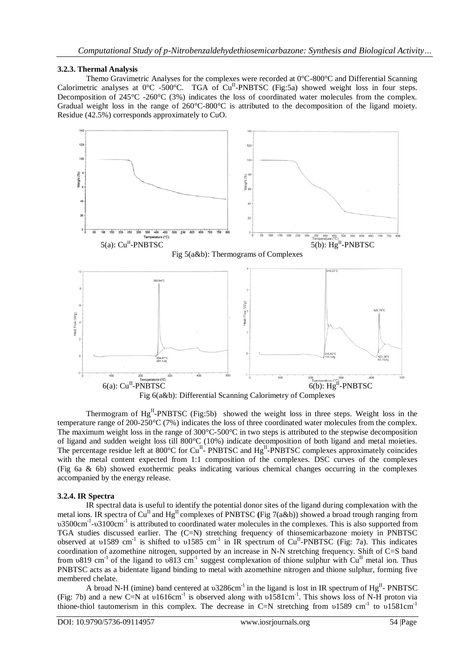### **3.2.3. Thermal Analysis**

Themo Gravimetric Analyses for the complexes were recorded at 0°C-800°C and Differential Scanning Calorimetric analyses at  $0^{\circ}$ C -500°C. TGA of Cu<sup>II</sup>-PNBTSC (Fig:5a) showed weight loss in four steps. Decomposition of 245°C -260°C (3%) indicates the loss of coordinated water molecules from the complex. Gradual weight loss in the range of 260°C-800°C is attributed to the decomposition of the ligand moiety. Residue (42.5%) corresponds approximately to CuO.



Fig 6(a&b): Differential Scanning Calorimetry of Complexes

Thermogram of Hg<sup>II</sup>-PNBTSC (Fig:5b) showed the weight loss in three steps. Weight loss in the temperature range of 200-250°C (7%) indicates the loss of three coordinated water molecules from the complex. The maximum weight loss in the range of 300°C-500°C in two steps is attributed to the stepwise decomposition of ligand and sudden weight loss till 800°C (10%) indicate decomposition of both ligand and metal moieties. The percentage residue left at 800°C for Cu<sup>II</sup>- PNBTSC and Hg<sup>II</sup>-PNBTSC complexes approximately coincides with the metal content expected from 1:1 composition of the complexes. DSC curves of the complexes (Fig 6a & 6b) showed exothermic peaks indicating various chemical changes occurring in the complexes accompanied by the energy release.

### **3.2.4. IR Spectra**

IR spectral data is useful to identify the potential donor sites of the ligand during complexation with the metal ions. IR spectra of  $Cu^{II}$  and  $Hg^{II}$  complexes of PNBTSC (Fig 7(a&b)) showed a broad trough ranging from υ3500cm<sup>-1</sup>-υ3100cm<sup>-1</sup> is attributed to coordinated water molecules in the complexes. This is also supported from TGA studies discussed earlier. The (C=N) stretching frequency of thiosemicarbazone moiety in PNBTSC observed at  $v1589$  cm<sup>-1</sup> is shifted to  $v1585$  cm<sup>-1</sup> in IR spectrum of Cu<sup>II</sup>-PNBTSC (Fig: 7a). This indicates coordination of azomethine nitrogen, supported by an increase in N-N stretching frequency. Shift of C=S band from  $v819$  cm<sup>-1</sup> of the ligand to  $v813$  cm<sup>-1</sup> suggest complexation of thione sulphur with Cu<sup>II</sup> metal ion. Thus PNBTSC acts as a bidentate ligand binding to metal with azomethine nitrogen and thione sulphur, forming five membered chelate.

A broad N-H (imine) band centered at  $v3286cm^{-1}$  in the ligand is lost in IR spectrum of Hg<sup>II</sup>- PNBTSC (Fig: 7b) and a new C=N at  $v1616cm^{-1}$  is observed along with  $v1581cm^{-1}$ . This shows loss of N-H proton via thione-thiol tautomerism in this complex. The decrease in C=N stretching from υ1589 cm<sup>-1</sup> to υ1581cm<sup>-1</sup>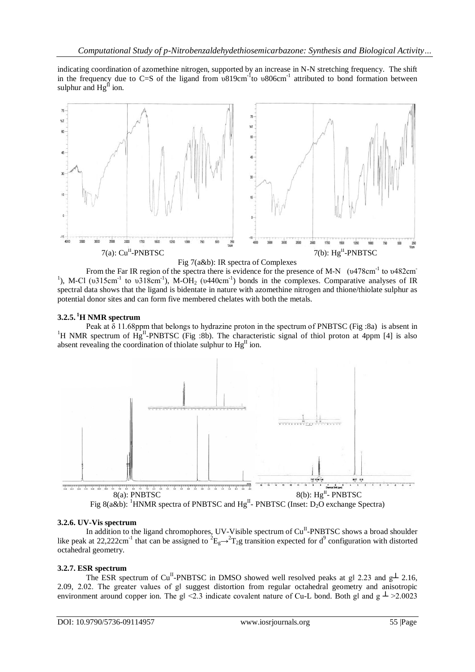indicating coordination of azomethine nitrogen, supported by an increase in N-N stretching frequency. The shift in the frequency due to C=S of the ligand from  $\overline{v}$ 819cm<sup>-1</sup> to  $v$ 806cm<sup>-1</sup> attributed to bond formation between sulphur and  $Hg^{\mathbf{II}}$  ion.





From the Far IR region of the spectra there is evidence for the presence of M-N (υ478cm<sup>-1</sup> to υ482cm <sup>1</sup>), M-Cl (υ315cm<sup>-1</sup> to υ318cm<sup>-1</sup>), M-OH<sub>2</sub> (υ440cm<sup>-1</sup>) bonds in the complexes. Comparative analyses of IR spectral data shows that the ligand is bidentate in nature with azomethine nitrogen and thione/thiolate sulphur as potential donor sites and can form five membered chelates with both the metals.

#### **3.2.5. <sup>1</sup>H NMR spectrum**

Peak at  $\delta$  11.68ppm that belongs to hydrazine proton in the spectrum of PNBTSC (Fig :8a) is absent in <sup>1</sup>H NMR spectrum of  $\hat{H}g^{II}$ -PNBTSC (Fig :8b). The characteristic signal of thiol proton at 4ppm [4] is also absent revealing the coordination of thiolate sulphur to  $Hg<sup>H</sup>$  ion.





### **3.2.6. UV-Vis spectrum**

In addition to the ligand chromophores, UV-Visible spectrum of  $Cu<sup>II</sup>$ -PNBTSC shows a broad shoulder like peak at 22,222cm<sup>-1</sup> that can be assigned to  ${}^2E_g \rightarrow {}^2T_2g$  transition expected for d<sup>9</sup> configuration with distorted octahedral geometry.

### **3.2.7. ESR spectrum**

The ESR spectrum of Cu<sup>II</sup>-PNBTSC in DMSO showed well resolved peaks at gl 2.23 and g<sup> $\perp$ </sup> 2.16, 2.09, 2.02. The greater values of gl suggest distortion from regular octahedral geometry and anisotropic environment around copper ion. The g $\leq$  2.3 indicate covalent nature of Cu-L bond. Both g| and g  $\perp$  >2.0023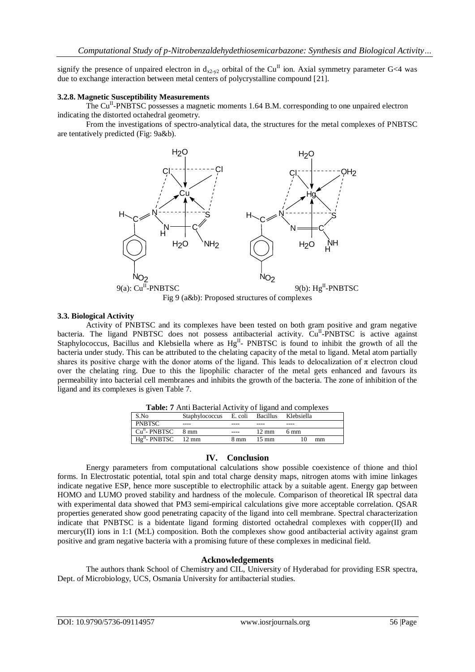signify the presence of unpaired electron in  $d_{x2-y2}$  orbital of the Cu<sup>II</sup> ion. Axial symmetry parameter G<4 was due to exchange interaction between metal centers of polycrystalline compound [21].

#### **3.2.8. Magnetic Susceptibility Measurements**

The Cu<sup>II</sup>-PNBTSC possesses a magnetic moments 1.64 B.M. corresponding to one unpaired electron indicating the distorted octahedral geometry.

 From the investigations of spectro-analytical data, the structures for the metal complexes of PNBTSC are tentatively predicted (Fig: 9a&b).



Fig 9 (a&b): Proposed structures of complexes

#### **3.3. Biological Activity**

Activity of PNBTSC and its complexes have been tested on both gram positive and gram negative bacteria. The ligand PNBTSC does not possess antibacterial activity. Cu<sup>II</sup>-PNBTSC is active against Staphylococcus, Bacillus and Klebsiella where as Hg<sup>II</sup>- PNBTSC is found to inhibit the growth of all the bacteria under study. This can be attributed to the chelating capacity of the metal to ligand. Metal atom partially shares its positive charge with the donor atoms of the ligand. This leads to delocalization of  $\pi$  electron cloud over the chelating ring. Due to this the lipophilic character of the metal gets enhanced and favours its permeability into bacterial cell membranes and inhibits the growth of the bacteria. The zone of inhibition of the ligand and its complexes is given Table 7.

| <b>Tublet</b> 7 That Bucterian Referred of Hamilton completion |                                            |      |                 |                |  |  |  |  |
|----------------------------------------------------------------|--------------------------------------------|------|-----------------|----------------|--|--|--|--|
| S.No                                                           | Staphylococcus E. coli Bacillus Klebsiella |      |                 |                |  |  |  |  |
| <b>PNBTSC</b>                                                  |                                            |      |                 |                |  |  |  |  |
| $CuII$ - PNBTSC                                                | 8 mm                                       |      | $12 \text{ mm}$ | $6 \text{ mm}$ |  |  |  |  |
| $HgH$ - PNBTSC 12 mm                                           |                                            | 8 mm | $15 \text{ mm}$ | mm             |  |  |  |  |
|                                                                |                                            |      |                 |                |  |  |  |  |

**Table: 7** Anti Bacterial Activity of ligand and complexes

#### **IV. Conclusion**

Energy parameters from computational calculations show possible coexistence of thione and thiol forms. In Electrostatic potential, total spin and total charge density maps, nitrogen atoms with imine linkages indicate negative ESP, hence more susceptible to electrophilic attack by a suitable agent. Energy gap between HOMO and LUMO proved stability and hardness of the molecule. Comparison of theoretical IR spectral data with experimental data showed that PM3 semi-empirical calculations give more acceptable correlation. OSAR properties generated show good penetrating capacity of the ligand into cell membrane. Spectral characterization indicate that PNBTSC is a bidentate ligand forming distorted octahedral complexes with copper(II) and mercury(II) ions in 1:1 (M:L) composition. Both the complexes show good antibacterial activity against gram positive and gram negative bacteria with a promising future of these complexes in medicinal field.

#### **Acknowledgements**

The authors thank School of Chemistry and CIL, University of Hyderabad for providing ESR spectra, Dept. of Microbiology, UCS, Osmania University for antibacterial studies.